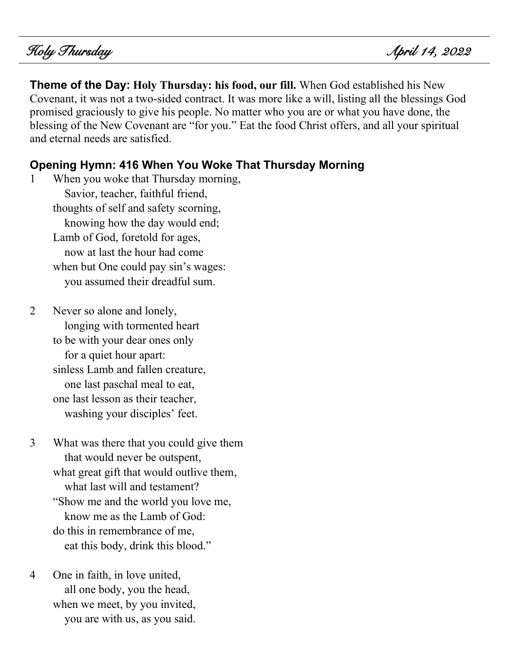Holy Thursday April 14, 2022

Ī

**Theme of the Day: Holy Thursday: his food, our fill.** When God established his New Covenant, it was not a two-sided contract. It was more like a will, listing all the blessings God promised graciously to give his people. No matter who you are or what you have done, the blessing of the New Covenant are "for you." Eat the food Christ offers, and all your spiritual and eternal needs are satisfied.

#### **Opening Hymn: 416 When You Woke That Thursday Morning**

1 When you woke that Thursday morning, Savior, teacher, faithful friend, thoughts of self and safety scorning, knowing how the day would end; Lamb of God, foretold for ages, now at last the hour had come when but One could pay sin's wages: you assumed their dreadful sum.

2 Never so alone and lonely, longing with tormented heart to be with your dear ones only for a quiet hour apart: sinless Lamb and fallen creature, one last paschal meal to eat, one last lesson as their teacher, washing your disciples' feet.

3 What was there that you could give them that would never be outspent, what great gift that would outlive them, what last will and testament? "Show me and the world you love me, know me as the Lamb of God: do this in remembrance of me, eat this body, drink this blood."

4 One in faith, in love united, all one body, you the head, when we meet, by you invited, you are with us, as you said.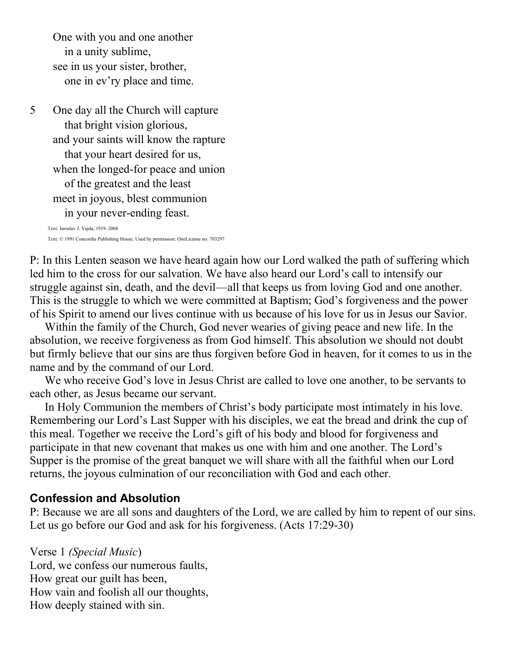One with you and one another in a unity sublime, see in us your sister, brother, one in ev'ry place and time.

5 One day all the Church will capture that bright vision glorious, and your saints will know the rapture that your heart desired for us, when the longed-for peace and union of the greatest and the least meet in joyous, blest communion in your never-ending feast.

Text: Jaroslav J. Vajda, 1919–2008

Text: © 1991 Concordia Publishing House. Used by permission: OneLicense no. 703297

P: In this Lenten season we have heard again how our Lord walked the path of suffering which led him to the cross for our salvation. We have also heard our Lord's call to intensify our struggle against sin, death, and the devil—all that keeps us from loving God and one another. This is the struggle to which we were committed at Baptism; God's forgiveness and the power of his Spirit to amend our lives continue with us because of his love for us in Jesus our Savior.

Within the family of the Church, God never wearies of giving peace and new life. In the absolution, we receive forgiveness as from God himself. This absolution we should not doubt but firmly believe that our sins are thus forgiven before God in heaven, for it comes to us in the name and by the command of our Lord.

We who receive God's love in Jesus Christ are called to love one another, to be servants to each other, as Jesus became our servant.

In Holy Communion the members of Christ's body participate most intimately in his love. Remembering our Lord's Last Supper with his disciples, we eat the bread and drink the cup of this meal. Together we receive the Lord's gift of his body and blood for forgiveness and participate in that new covenant that makes us one with him and one another. The Lord's Supper is the promise of the great banquet we will share with all the faithful when our Lord returns, the joyous culmination of our reconciliation with God and each other.

## **Confession and Absolution**

P: Because we are all sons and daughters of the Lord, we are called by him to repent of our sins. Let us go before our God and ask for his forgiveness. (Acts 17:29-30)

Verse 1 *(Special Music*) Lord, we confess our numerous faults, How great our guilt has been, How vain and foolish all our thoughts, How deeply stained with sin.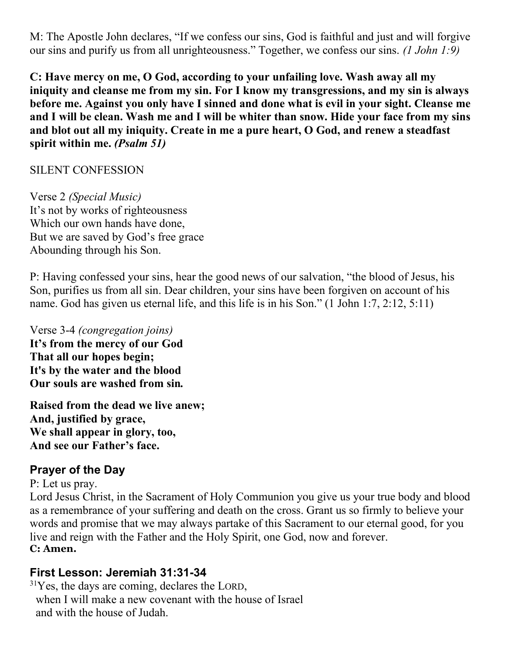M: The Apostle John declares, "If we confess our sins, God is faithful and just and will forgive our sins and purify us from all unrighteousness." Together, we confess our sins. *(1 John 1:9)*

**C: Have mercy on me, O God, according to your unfailing love. Wash away all my iniquity and cleanse me from my sin. For I know my transgressions, and my sin is always before me. Against you only have I sinned and done what is evil in your sight. Cleanse me and I will be clean. Wash me and I will be whiter than snow. Hide your face from my sins and blot out all my iniquity. Create in me a pure heart, O God, and renew a steadfast spirit within me.** *(Psalm 51)*

#### SILENT CONFESSION

Verse 2 *(Special Music)* It's not by works of righteousness Which our own hands have done, But we are saved by God's free grace Abounding through his Son.

P: Having confessed your sins, hear the good news of our salvation, "the blood of Jesus, his Son, purifies us from all sin. Dear children, your sins have been forgiven on account of his name. God has given us eternal life, and this life is in his Son." (1 John 1:7, 2:12, 5:11)

Verse 3-4 *(congregation joins)* **It's from the mercy of our God That all our hopes begin; It's by the water and the blood Our souls are washed from sin***.*

**Raised from the dead we live anew; And, justified by grace, We shall appear in glory, too, And see our Father's face.**

## **Prayer of the Day**

P: Let us pray.

Lord Jesus Christ, in the Sacrament of Holy Communion you give us your true body and blood as a remembrance of your suffering and death on the cross. Grant us so firmly to believe your words and promise that we may always partake of this Sacrament to our eternal good, for you live and reign with the Father and the Holy Spirit, one God, now and forever. **C: Amen.**

## **First Lesson: Jeremiah 31:31-34**

 $31$ Yes, the days are coming, declares the LORD, when I will make a new covenant with the house of Israel and with the house of Judah.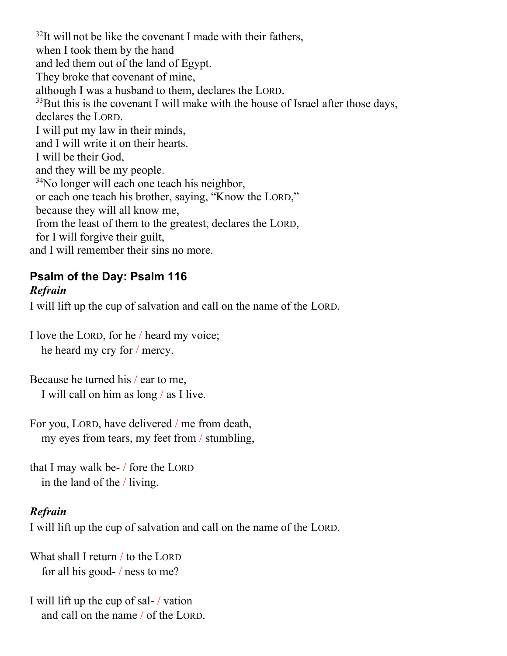$32$ It will not be like the covenant I made with their fathers, when I took them by the hand and led them out of the land of Egypt. They broke that covenant of mine, although I was a husband to them, declares the LORD.  $33$ But this is the covenant I will make with the house of Israel after those days, declares the LORD. I will put my law in their minds, and I will write it on their hearts. I will be their God, and they will be my people. <sup>34</sup>No longer will each one teach his neighbor, or each one teach his brother, saying, "Know the LORD," because they will all know me, from the least of them to the greatest, declares the LORD, for I will forgive their guilt, and I will remember their sins no more.

#### **Psalm of the Day: Psalm 116** *Refrain*

I will lift up the cup of salvation and call on the name of the LORD.

I love the LORD, for he / heard my voice; he heard my cry for / mercy.

Because he turned his / ear to me, I will call on him as long / as I live.

For you, LORD, have delivered / me from death, my eyes from tears, my feet from / stumbling,

that I may walk be- / fore the LORD in the land of the / living.

## *Refrain*

I will lift up the cup of salvation and call on the name of the LORD.

What shall I return / to the LORD for all his good- / ness to me?

I will lift up the cup of sal- / vation and call on the name / of the LORD.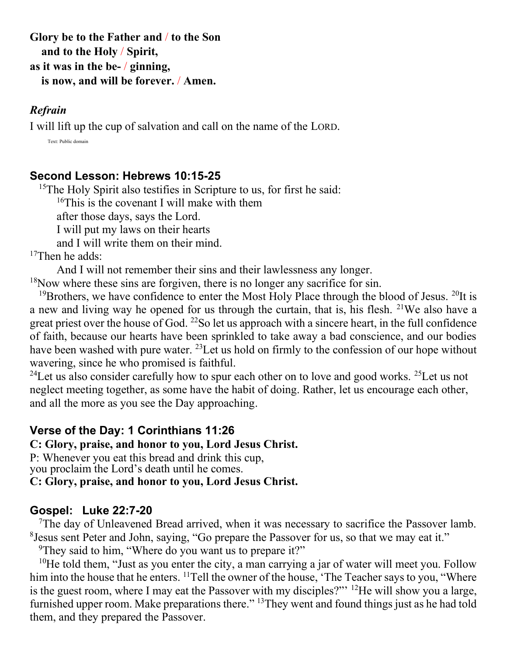**Glory be to the Father and** / **to the Son and to the Holy** / **Spirit, as it was in the be-** / **ginning, is now, and will be forever.** / **Amen.**

#### *Refrain*

I will lift up the cup of salvation and call on the name of the LORD.

Text: Public domain

#### **Second Lesson: Hebrews 10:15-25**

<sup>15</sup>The Holy Spirit also testifies in Scripture to us, for first he said:

<sup>16</sup>This is the covenant I will make with them

after those days, says the Lord.

I will put my laws on their hearts

and I will write them on their mind.

<sup>17</sup>Then he adds:

And I will not remember their sins and their lawlessness any longer.

 $18$ Now where these sins are forgiven, there is no longer any sacrifice for sin.

<sup>19</sup>Brothers, we have confidence to enter the Most Holy Place through the blood of Jesus. <sup>20</sup>It is a new and living way he opened for us through the curtain, that is, his flesh. <sup>21</sup>We also have a great priest over the house of God. <sup>22</sup>So let us approach with a sincere heart, in the full confidence of faith, because our hearts have been sprinkled to take away a bad conscience, and our bodies have been washed with pure water. <sup>23</sup>Let us hold on firmly to the confession of our hope without wavering, since he who promised is faithful.

<sup>24</sup>Let us also consider carefully how to spur each other on to love and good works. <sup>25</sup>Let us not neglect meeting together, as some have the habit of doing. Rather, let us encourage each other, and all the more as you see the Day approaching.

## **Verse of the Day: 1 Corinthians 11:26**

**C: Glory, praise, and honor to you, Lord Jesus Christ.**

P: Whenever you eat this bread and drink this cup, you proclaim the Lord's death until he comes.

**C: Glory, praise, and honor to you, Lord Jesus Christ.**

## **Gospel: Luke 22:7-20**

<sup>7</sup>The day of Unleavened Bread arrived, when it was necessary to sacrifice the Passover lamb. <sup>8</sup> Jesus sent Peter and John, saying, "Go prepare the Passover for us, so that we may eat it."

<sup>9</sup>They said to him, "Where do you want us to prepare it?"

<sup>10</sup>He told them, "Just as you enter the city, a man carrying a jar of water will meet you. Follow him into the house that he enters. <sup>11</sup>Tell the owner of the house, 'The Teacher says to you, "Where is the guest room, where I may eat the Passover with my disciples?"<sup>12</sup>He will show you a large, furnished upper room. Make preparations there." <sup>13</sup>They went and found things just as he had told them, and they prepared the Passover.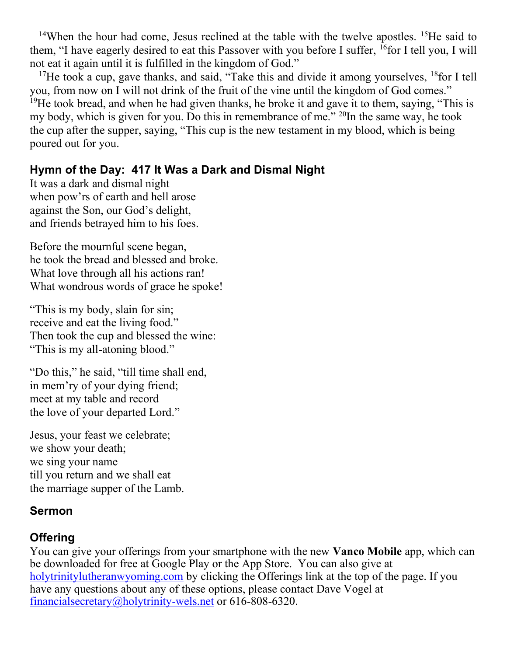<sup>14</sup>When the hour had come, Jesus reclined at the table with the twelve apostles. <sup>15</sup>He said to them, "I have eagerly desired to eat this Passover with you before I suffer,  $^{16}$  for I tell you, I will not eat it again until it is fulfilled in the kingdom of God."

<sup>17</sup>He took a cup, gave thanks, and said, "Take this and divide it among yourselves,  $^{18}$  for I tell you, from now on I will not drink of the fruit of the vine until the kingdom of God comes." <sup>19</sup>He took bread, and when he had given thanks, he broke it and gave it to them, saying, "This is my body, which is given for you. Do this in remembrance of me."  $^{20}$ In the same way, he took the cup after the supper, saying, "This cup is the new testament in my blood, which is being poured out for you.

## **Hymn of the Day: 417 It Was a Dark and Dismal Night**

It was a dark and dismal night when pow'rs of earth and hell arose against the Son, our God's delight, and friends betrayed him to his foes.

Before the mournful scene began, he took the bread and blessed and broke. What love through all his actions ran! What wondrous words of grace he spoke!

"This is my body, slain for sin; receive and eat the living food." Then took the cup and blessed the wine: "This is my all-atoning blood."

"Do this," he said, "till time shall end, in mem'ry of your dying friend; meet at my table and record the love of your departed Lord."

Jesus, your feast we celebrate; we show your death; we sing your name till you return and we shall eat the marriage supper of the Lamb.

## **Sermon**

## **Offering**

You can give your offerings from your smartphone with the new **Vanco Mobile** app, which can be downloaded for free at Google Play or the App Store. You can also give at [holytrinitylutheranwyoming.com](http://holytrinitylutheranwyoming.com/) by clicking the Offerings link at the top of the page. If you have any questions about any of these options, please contact Dave Vogel at [financialsecretary@holytrinity-wels.net](mailto:financialsecretary@holytrinity-wels.net) or 616-808-6320.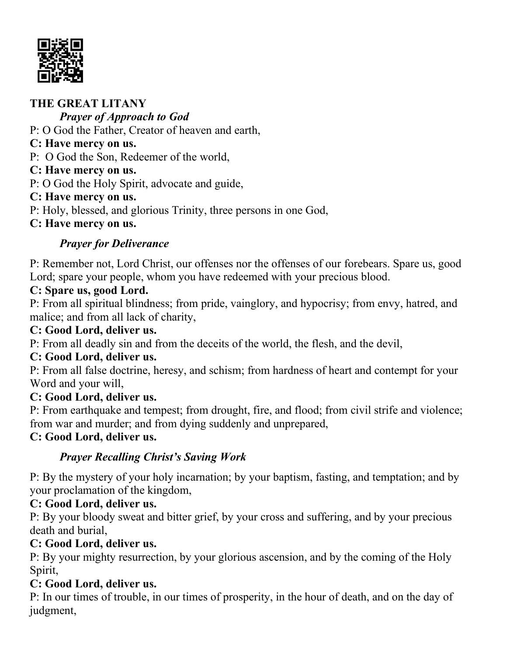

#### **THE GREAT LITANY**

*Prayer of Approach to God* P: O God the Father, Creator of heaven and earth, **C: Have mercy on us.** P: O God the Son, Redeemer of the world, **C: Have mercy on us.** P: O God the Holy Spirit, advocate and guide, **C: Have mercy on us.** P: Holy, blessed, and glorious Trinity, three persons in one God, **C: Have mercy on us.**

#### *Prayer for Deliverance*

P: Remember not, Lord Christ, our offenses nor the offenses of our forebears. Spare us, good Lord; spare your people, whom you have redeemed with your precious blood.

#### **C: Spare us, good Lord.**

P: From all spiritual blindness; from pride, vainglory, and hypocrisy; from envy, hatred, and malice; and from all lack of charity,

#### **C: Good Lord, deliver us.**

P: From all deadly sin and from the deceits of the world, the flesh, and the devil,

#### **C: Good Lord, deliver us.**

P: From all false doctrine, heresy, and schism; from hardness of heart and contempt for your Word and your will,

#### **C: Good Lord, deliver us.**

P: From earthquake and tempest; from drought, fire, and flood; from civil strife and violence; from war and murder; and from dying suddenly and unprepared,

#### **C: Good Lord, deliver us.**

#### *Prayer Recalling Christ's Saving Work*

P: By the mystery of your holy incarnation; by your baptism, fasting, and temptation; and by your proclamation of the kingdom,

#### **C: Good Lord, deliver us.**

P: By your bloody sweat and bitter grief, by your cross and suffering, and by your precious death and burial,

#### **C: Good Lord, deliver us.**

P: By your mighty resurrection, by your glorious ascension, and by the coming of the Holy Spirit,

#### **C: Good Lord, deliver us.**

P: In our times of trouble, in our times of prosperity, in the hour of death, and on the day of judgment,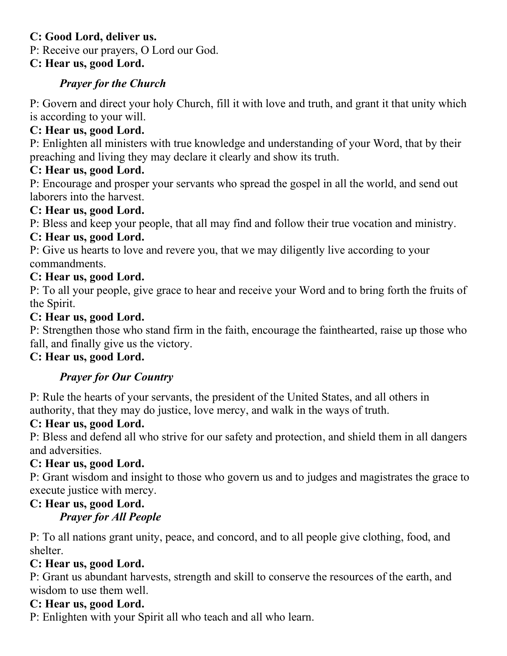# **C: Good Lord, deliver us.**

P: Receive our prayers, O Lord our God.

## **C: Hear us, good Lord.**

## *Prayer for the Church*

P: Govern and direct your holy Church, fill it with love and truth, and grant it that unity which is according to your will.

### **C: Hear us, good Lord.**

P: Enlighten all ministers with true knowledge and understanding of your Word, that by their preaching and living they may declare it clearly and show its truth.

#### **C: Hear us, good Lord.**

P: Encourage and prosper your servants who spread the gospel in all the world, and send out laborers into the harvest.

#### **C: Hear us, good Lord.**

P: Bless and keep your people, that all may find and follow their true vocation and ministry.

## **C: Hear us, good Lord.**

P: Give us hearts to love and revere you, that we may diligently live according to your commandments.

#### **C: Hear us, good Lord.**

P: To all your people, give grace to hear and receive your Word and to bring forth the fruits of the Spirit.

#### **C: Hear us, good Lord.**

P: Strengthen those who stand firm in the faith, encourage the fainthearted, raise up those who fall, and finally give us the victory.

#### **C: Hear us, good Lord.**

## *Prayer for Our Country*

P: Rule the hearts of your servants, the president of the United States, and all others in authority, that they may do justice, love mercy, and walk in the ways of truth.

#### **C: Hear us, good Lord.**

P: Bless and defend all who strive for our safety and protection, and shield them in all dangers and adversities.

#### **C: Hear us, good Lord.**

P: Grant wisdom and insight to those who govern us and to judges and magistrates the grace to execute justice with mercy.

#### **C: Hear us, good Lord.** *Prayer for All People*

P: To all nations grant unity, peace, and concord, and to all people give clothing, food, and shelter.

## **C: Hear us, good Lord.**

P: Grant us abundant harvests, strength and skill to conserve the resources of the earth, and wisdom to use them well.

## **C: Hear us, good Lord.**

P: Enlighten with your Spirit all who teach and all who learn.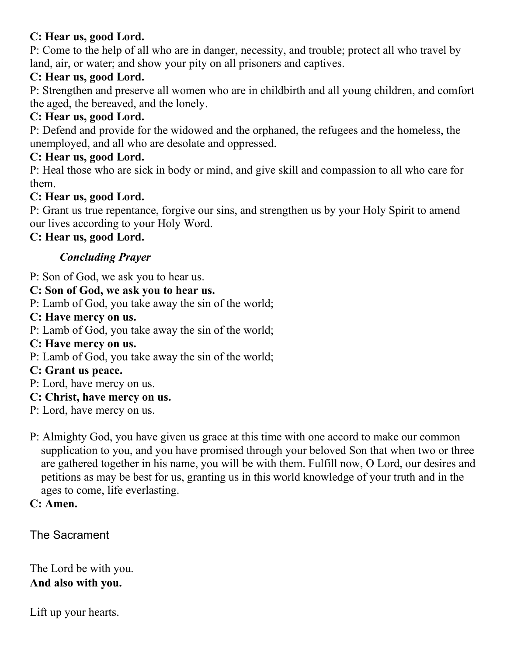#### **C: Hear us, good Lord.**

P: Come to the help of all who are in danger, necessity, and trouble; protect all who travel by land, air, or water; and show your pity on all prisoners and captives.

#### **C: Hear us, good Lord.**

P: Strengthen and preserve all women who are in childbirth and all young children, and comfort the aged, the bereaved, and the lonely.

#### **C: Hear us, good Lord.**

P: Defend and provide for the widowed and the orphaned, the refugees and the homeless, the unemployed, and all who are desolate and oppressed.

#### **C: Hear us, good Lord.**

P: Heal those who are sick in body or mind, and give skill and compassion to all who care for them.

#### **C: Hear us, good Lord.**

P: Grant us true repentance, forgive our sins, and strengthen us by your Holy Spirit to amend our lives according to your Holy Word.

#### **C: Hear us, good Lord.**

## *Concluding Prayer*

P: Son of God, we ask you to hear us.

#### **C: Son of God, we ask you to hear us.**

P: Lamb of God, you take away the sin of the world;

#### **C: Have mercy on us.**

P: Lamb of God, you take away the sin of the world;

#### **C: Have mercy on us.**

P: Lamb of God, you take away the sin of the world;

#### **C: Grant us peace.**

P: Lord, have mercy on us.

#### **C: Christ, have mercy on us.**

P: Lord, have mercy on us.

P: Almighty God, you have given us grace at this time with one accord to make our common supplication to you, and you have promised through your beloved Son that when two or three are gathered together in his name, you will be with them. Fulfill now, O Lord, our desires and petitions as may be best for us, granting us in this world knowledge of your truth and in the ages to come, life everlasting.

**C: Amen.**

The Sacrament

The Lord be with you. **And also with you.**

Lift up your hearts.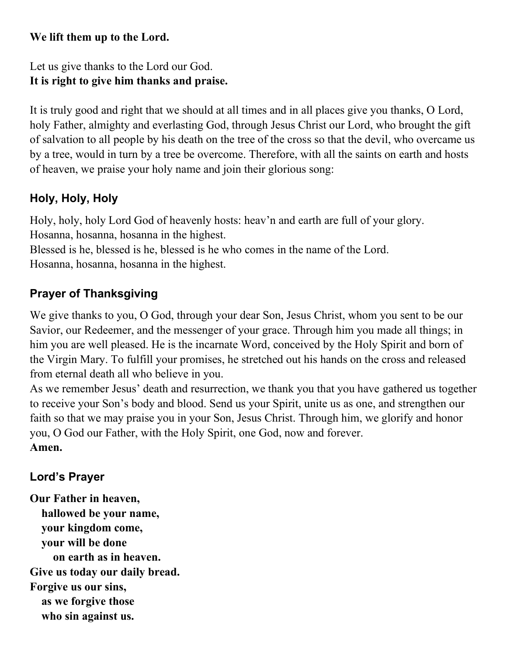## **We lift them up to the Lord.**

Let us give thanks to the Lord our God. **It is right to give him thanks and praise.**

It is truly good and right that we should at all times and in all places give you thanks, O Lord, holy Father, almighty and everlasting God, through Jesus Christ our Lord, who brought the gift of salvation to all people by his death on the tree of the cross so that the devil, who overcame us by a tree, would in turn by a tree be overcome. Therefore, with all the saints on earth and hosts of heaven, we praise your holy name and join their glorious song:

## **Holy, Holy, Holy**

Holy, holy, holy Lord God of heavenly hosts: heav'n and earth are full of your glory. Hosanna, hosanna, hosanna in the highest. Blessed is he, blessed is he, blessed is he who comes in the name of the Lord. Hosanna, hosanna, hosanna in the highest.

## **Prayer of Thanksgiving**

We give thanks to you, O God, through your dear Son, Jesus Christ, whom you sent to be our Savior, our Redeemer, and the messenger of your grace. Through him you made all things; in him you are well pleased. He is the incarnate Word, conceived by the Holy Spirit and born of the Virgin Mary. To fulfill your promises, he stretched out his hands on the cross and released from eternal death all who believe in you.

As we remember Jesus' death and resurrection, we thank you that you have gathered us together to receive your Son's body and blood. Send us your Spirit, unite us as one, and strengthen our faith so that we may praise you in your Son, Jesus Christ. Through him, we glorify and honor you, O God our Father, with the Holy Spirit, one God, now and forever. **Amen.**

# **Lord's Prayer**

**Our Father in heaven, hallowed be your name, your kingdom come, your will be done on earth as in heaven. Give us today our daily bread. Forgive us our sins, as we forgive those who sin against us.**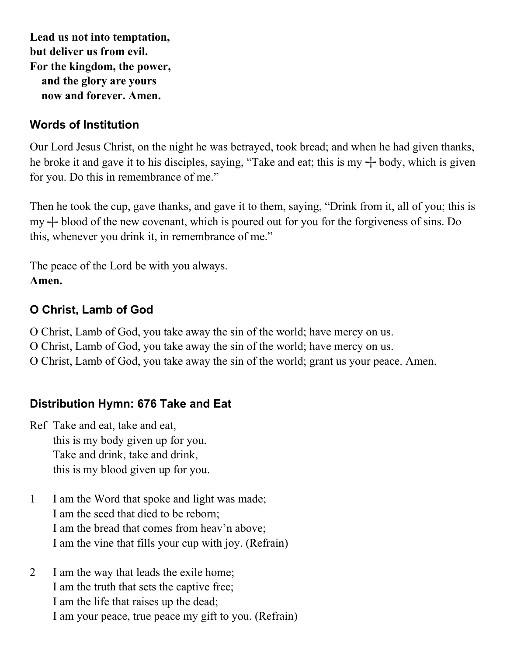**Lead us not into temptation, but deliver us from evil. For the kingdom, the power, and the glory are yours now and forever. Amen.**

#### **Words of Institution**

Our Lord Jesus Christ, on the night he was betrayed, took bread; and when he had given thanks, he broke it and gave it to his disciples, saying, "Take and eat; this is my  $+$  body, which is given for you. Do this in remembrance of me."

Then he took the cup, gave thanks, and gave it to them, saying, "Drink from it, all of you; this is  $my + blood of the new covenant, which is poured out for you for the for giveness of sins. Do$ this, whenever you drink it, in remembrance of me."

The peace of the Lord be with you always. **Amen.**

## **O Christ, Lamb of God**

O Christ, Lamb of God, you take away the sin of the world; have mercy on us. O Christ, Lamb of God, you take away the sin of the world; have mercy on us. O Christ, Lamb of God, you take away the sin of the world; grant us your peace. Amen.

## **Distribution Hymn: 676 Take and Eat**

- Ref Take and eat, take and eat, this is my body given up for you. Take and drink, take and drink, this is my blood given up for you.
- 1 I am the Word that spoke and light was made; I am the seed that died to be reborn; I am the bread that comes from heav'n above; I am the vine that fills your cup with joy. (Refrain)
- 2 I am the way that leads the exile home; I am the truth that sets the captive free; I am the life that raises up the dead; I am your peace, true peace my gift to you. (Refrain)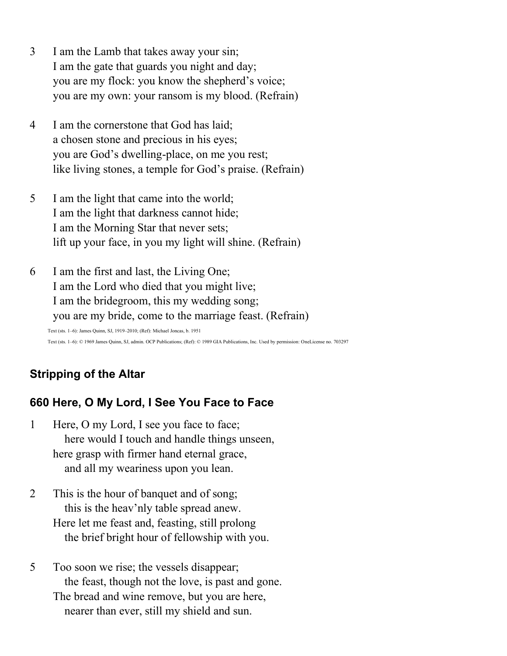- 3 I am the Lamb that takes away your sin; I am the gate that guards you night and day; you are my flock: you know the shepherd's voice; you are my own: your ransom is my blood. (Refrain)
- 4 I am the cornerstone that God has laid; a chosen stone and precious in his eyes; you are God's dwelling-place, on me you rest; like living stones, a temple for God's praise. (Refrain)
- 5 I am the light that came into the world; I am the light that darkness cannot hide; I am the Morning Star that never sets; lift up your face, in you my light will shine. (Refrain)
- 6 I am the first and last, the Living One; I am the Lord who died that you might live; I am the bridegroom, this my wedding song; you are my bride, come to the marriage feast. (Refrain)

Text (sts. 1–6): James Quinn, SJ, 1919–2010; (Ref): Michael Joncas, b. 1951 Text (sts. 1–6): © 1969 James Quinn, SJ, admin. OCP Publications; (Ref): © 1989 GIA Publications, Inc. Used by permission: OneLicense no. 703297

# **Stripping of the Altar**

## **660 Here, O My Lord, I See You Face to Face**

- 1 Here, O my Lord, I see you face to face; here would I touch and handle things unseen, here grasp with firmer hand eternal grace, and all my weariness upon you lean.
- 2 This is the hour of banquet and of song; this is the heav'nly table spread anew. Here let me feast and, feasting, still prolong the brief bright hour of fellowship with you.
- 5 Too soon we rise; the vessels disappear; the feast, though not the love, is past and gone. The bread and wine remove, but you are here, nearer than ever, still my shield and sun.